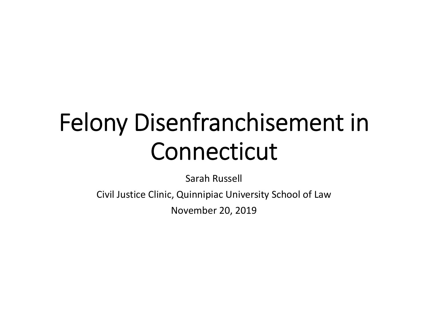# Felony Disenfranchisement in Connecticut

Sarah Russell

Civil Justice Clinic, Quinnipiac University School of Law

November 20, 2019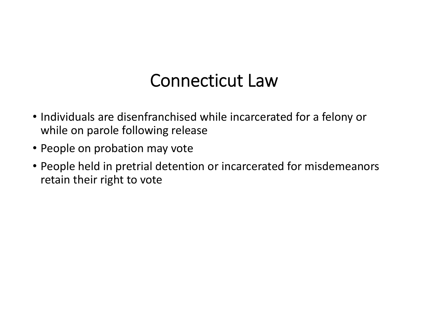### Connecticut Law

- Individuals are disenfranchised while incarcerated for <sup>a</sup> felony or while on parole following release
- People on probation may vote
- People held in pretrial detention or incarcerated for misdemeanors retain their right to vote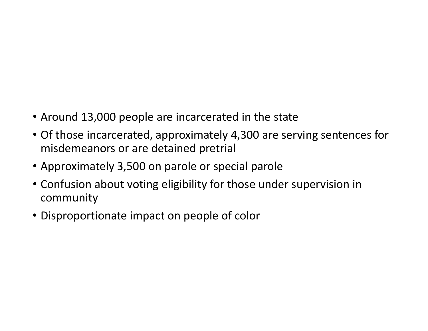- Around 13,000 people are incarcerated in the state
- Of those incarcerated, approximately 4,300 are serving sentences for misdemeanors or are detained pretrial
- Approximately 3,500 on parole or special parole
- Confusion about voting eligibility for those under supervision in community
- Disproportionate impact on people of color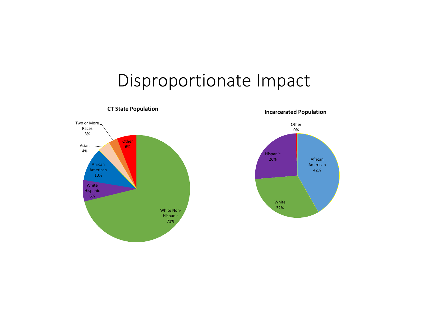### Disproportionate Impact



**CT State Population**

**Incarcerated Population**

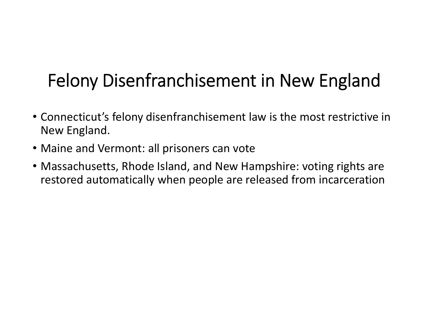# Felony Disenfranchisement in New England

- Connecticut's felony disenfranchisement law is the most restrictive in New England.
- Maine and Vermont: all prisoners can vote
- Massachusetts, Rhode Island, and New Hampshire: voting rights are restored automatically when people are released from incarceration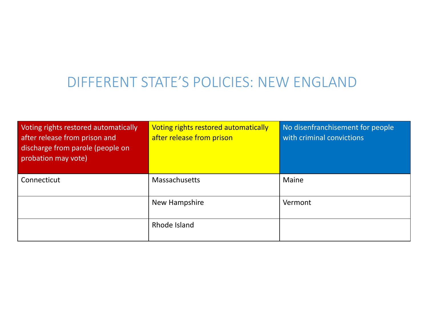### DIFFERENT STATE'S POLICIES: NEW ENGLAND

| Voting rights restored automatically<br>after release from prison and<br>discharge from parole (people on<br>probation may vote) | Voting rights restored automatically<br>after release from prison | No disenfranchisement for people<br>with criminal convictions |
|----------------------------------------------------------------------------------------------------------------------------------|-------------------------------------------------------------------|---------------------------------------------------------------|
| Connecticut                                                                                                                      | <b>Massachusetts</b>                                              | <b>Maine</b>                                                  |
|                                                                                                                                  | New Hampshire                                                     | Vermont                                                       |
|                                                                                                                                  | Rhode Island                                                      |                                                               |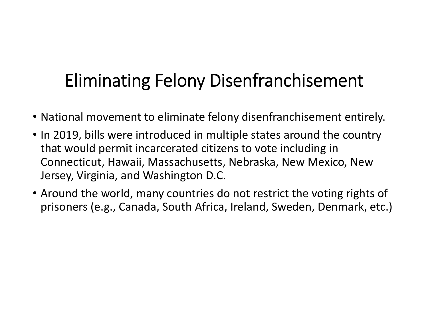### Eliminating Felony Disenfranchisement

- National movement to eliminate felony disenfranchisement entirely.
- In 2019, bills were introduced in multiple states around the country that would permit incarcerated citizens to vote including in Connecticut, Hawaii, Massachusetts, Nebraska, New Mexico, New Jersey, Virginia, and Washington D.C.
- Around the world, many countries do not restrict the voting rights of prisoners (e.g., Canada, South Africa, Ireland, Sweden, Denmark, etc.)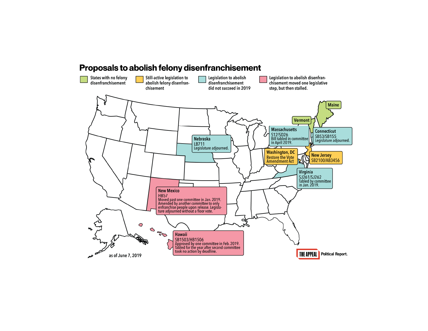#### Proposals to abolish felony disenfranchisement

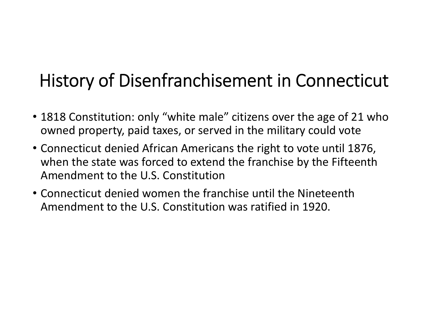### History of Disenfranchisement in Connecticut

- 1818 Constitution: only "white male" citizens over the age of 21 who owned property, paid taxes, or served in the military could vote
- Connecticut denied African Americans the right to vote until 1876, when the state was forced to extend the franchise by the Fifteenth Amendment to the U.S. Constitution
- Connecticut denied women the franchise until the Nineteenth Amendment to the U.S. Constitution was ratified in 1920.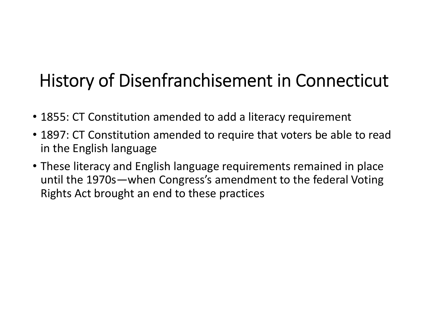### History of Disenfranchisement in Connecticut

- 1855: CT Constitution amended to add <sup>a</sup> literacy requirement
- 1897: CT Constitution amended to require that voters be able to read in the English language
- These literacy and English language requirements remained in place until the 1970s—when Congress's amendment to the federal Voting Rights Act brought an end to these practices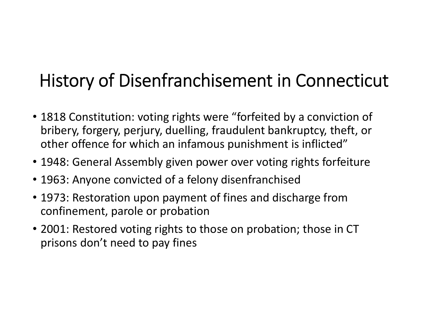# History of Disenfranchisement in Connecticut

- 1818 Constitution: voting rights were "forfeited by <sup>a</sup> conviction of bribery, forgery, perjury, duelling, fraudulent bankruptcy, theft, or other offence for which an infamous punishment is inflicted"
- 1948: General Assembly given power over voting rights forfeiture
- 1963: Anyone convicted of <sup>a</sup> felony disenfranchised
- 1973: Restoration upon payment of fines and discharge from confinement, parole or probation
- 2001: Restored voting rights to those on probation; those in CT prisons don't need to pay fines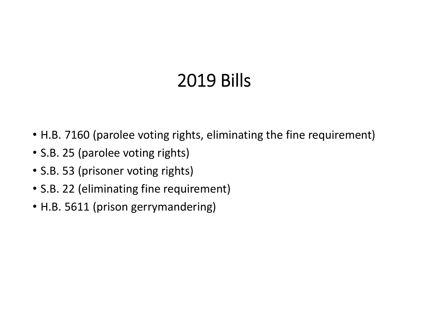# 2019 Bills

- H.B. 7160 (parolee voting rights, eliminating the fine requirement)
- S.B. 25 (parolee voting rights)
- S.B. 53 (prisoner voting rights)
- S.B. 22 (eliminating fine requirement)
- H.B. 5611 (prison gerrymandering)